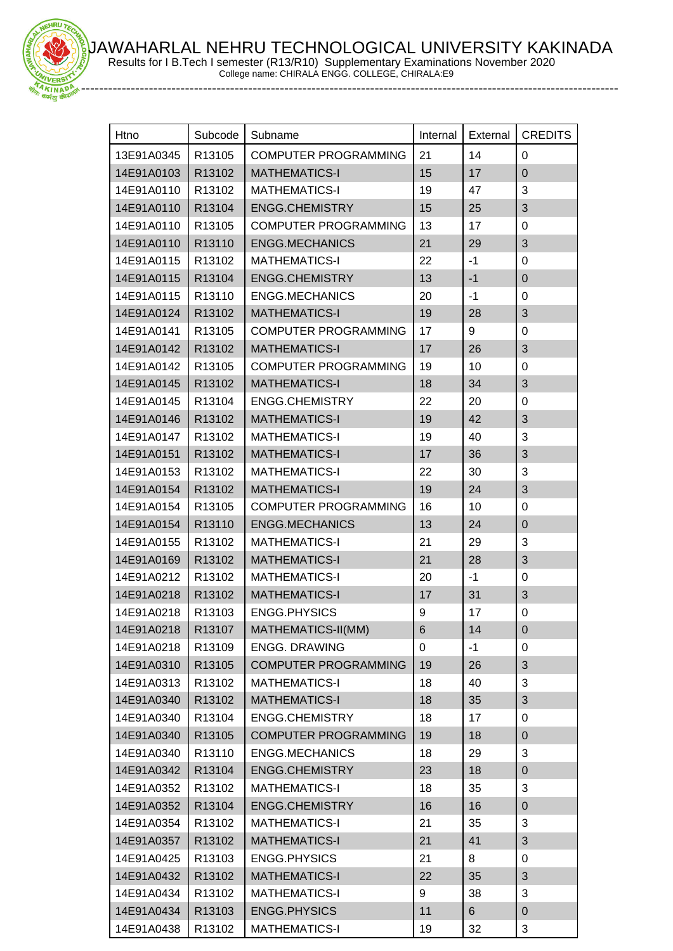JAWAHARLAL NEHRU TECHNOLOGICAL UNIVERSITY KAKINADA Results for I B.Tech I semester (R13/R10) Supplementary Examinations November 2020



College name: CHIRALA ENGG. COLLEGE, CHIRALA:E9

| Htno       | Subcode            | Subname                     | Internal | External | <b>CREDITS</b>   |
|------------|--------------------|-----------------------------|----------|----------|------------------|
| 13E91A0345 | R13105             | <b>COMPUTER PROGRAMMING</b> | 21       | 14       | 0                |
| 14E91A0103 | R13102             | <b>MATHEMATICS-I</b>        | 15       | 17       | $\mathbf 0$      |
| 14E91A0110 | R13102             | <b>MATHEMATICS-I</b>        | 19       | 47       | 3                |
| 14E91A0110 | R13104             | <b>ENGG.CHEMISTRY</b>       | 15       | 25       | 3                |
| 14E91A0110 | R <sub>13105</sub> | <b>COMPUTER PROGRAMMING</b> | 13       | 17       | $\boldsymbol{0}$ |
| 14E91A0110 | R13110             | <b>ENGG.MECHANICS</b>       | 21       | 29       | 3                |
| 14E91A0115 | R13102             | <b>MATHEMATICS-I</b>        | 22       | $-1$     | 0                |
| 14E91A0115 | R13104             | <b>ENGG.CHEMISTRY</b>       | 13       | $-1$     | $\pmb{0}$        |
| 14E91A0115 | R13110             | <b>ENGG.MECHANICS</b>       | 20       | $-1$     | 0                |
| 14E91A0124 | R13102             | <b>MATHEMATICS-I</b>        | 19       | 28       | 3                |
| 14E91A0141 | R13105             | <b>COMPUTER PROGRAMMING</b> | 17       | 9        | 0                |
| 14E91A0142 | R13102             | <b>MATHEMATICS-I</b>        | 17       | 26       | 3                |
| 14E91A0142 | R <sub>13105</sub> | <b>COMPUTER PROGRAMMING</b> | 19       | 10       | $\mathbf 0$      |
| 14E91A0145 | R13102             | <b>MATHEMATICS-I</b>        | 18       | 34       | $\sqrt{3}$       |
| 14E91A0145 | R13104             | ENGG.CHEMISTRY              | 22       | 20       | $\boldsymbol{0}$ |
| 14E91A0146 | R13102             | <b>MATHEMATICS-I</b>        | 19       | 42       | 3                |
| 14E91A0147 | R13102             | <b>MATHEMATICS-I</b>        | 19       | 40       | 3                |
| 14E91A0151 | R13102             | <b>MATHEMATICS-I</b>        | 17       | 36       | 3                |
| 14E91A0153 | R13102             | <b>MATHEMATICS-I</b>        | 22       | 30       | 3                |
| 14E91A0154 | R13102             | <b>MATHEMATICS-I</b>        | 19       | 24       | 3                |
| 14E91A0154 | R <sub>13105</sub> | <b>COMPUTER PROGRAMMING</b> | 16       | 10       | 0                |
| 14E91A0154 | R13110             | <b>ENGG.MECHANICS</b>       | 13       | 24       | $\mathbf 0$      |
| 14E91A0155 | R13102             | <b>MATHEMATICS-I</b>        | 21       | 29       | 3                |
| 14E91A0169 | R13102             | <b>MATHEMATICS-I</b>        | 21       | 28       | 3                |
| 14E91A0212 | R13102             | <b>MATHEMATICS-I</b>        | 20       | $-1$     | $\pmb{0}$        |
| 14E91A0218 | R13102             | <b>MATHEMATICS-I</b>        | 17       | 31       | 3                |
| 14E91A0218 | R13103             | <b>ENGG.PHYSICS</b>         | 9        | 17       | $\pmb{0}$        |
| 14E91A0218 | R13107             | MATHEMATICS-II(MM)          | 6        | 14       | 0                |
| 14E91A0218 | R13109             | <b>ENGG. DRAWING</b>        | 0        | $-1$     | 0                |
| 14E91A0310 | R13105             | <b>COMPUTER PROGRAMMING</b> | 19       | 26       | 3                |
| 14E91A0313 | R13102             | <b>MATHEMATICS-I</b>        | 18       | 40       | 3                |
| 14E91A0340 | R13102             | <b>MATHEMATICS-I</b>        | 18       | 35       | 3                |
| 14E91A0340 | R13104             | ENGG.CHEMISTRY              | 18       | 17       | $\pmb{0}$        |
| 14E91A0340 | R13105             | <b>COMPUTER PROGRAMMING</b> | 19       | 18       | $\pmb{0}$        |
| 14E91A0340 | R13110             | <b>ENGG.MECHANICS</b>       | 18       | 29       | 3                |
| 14E91A0342 | R13104             | <b>ENGG.CHEMISTRY</b>       | 23       | 18       | $\pmb{0}$        |
| 14E91A0352 | R13102             | <b>MATHEMATICS-I</b>        | 18       | 35       | 3                |
| 14E91A0352 | R13104             | <b>ENGG.CHEMISTRY</b>       | 16       | 16       | $\pmb{0}$        |
| 14E91A0354 | R13102             | <b>MATHEMATICS-I</b>        | 21       | 35       | 3                |
| 14E91A0357 | R13102             | <b>MATHEMATICS-I</b>        | 21       | 41       | 3                |
| 14E91A0425 | R13103             | <b>ENGG.PHYSICS</b>         | 21       | 8        | 0                |
| 14E91A0432 | R13102             | <b>MATHEMATICS-I</b>        | 22       | 35       | 3                |
| 14E91A0434 | R13102             | <b>MATHEMATICS-I</b>        | 9        | 38       | 3                |
| 14E91A0434 | R13103             | <b>ENGG.PHYSICS</b>         | 11       | 6        | $\pmb{0}$        |
| 14E91A0438 | R13102             | <b>MATHEMATICS-I</b>        | 19       | 32       | 3                |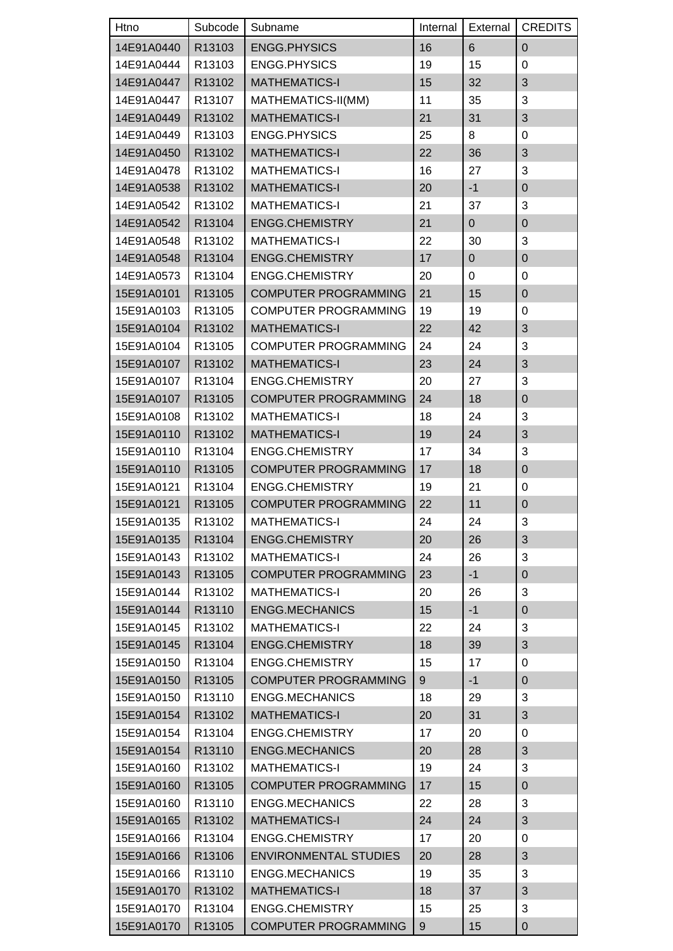| Htno       | Subcode            | Subname                      | Internal | External       | <b>CREDITS</b>   |
|------------|--------------------|------------------------------|----------|----------------|------------------|
| 14E91A0440 | R13103             | <b>ENGG.PHYSICS</b>          | 16       | $6\phantom{1}$ | $\pmb{0}$        |
| 14E91A0444 | R13103             | <b>ENGG.PHYSICS</b>          | 19       | 15             | 0                |
| 14E91A0447 | R13102             | <b>MATHEMATICS-I</b>         | 15       | 32             | 3                |
| 14E91A0447 | R13107             | MATHEMATICS-II(MM)           | 11       | 35             | 3                |
| 14E91A0449 | R13102             | <b>MATHEMATICS-I</b>         | 21       | 31             | 3                |
| 14E91A0449 | R13103             | <b>ENGG.PHYSICS</b>          | 25       | 8              | 0                |
| 14E91A0450 | R13102             | <b>MATHEMATICS-I</b>         | 22       | 36             | 3                |
| 14E91A0478 | R13102             | <b>MATHEMATICS-I</b>         | 16       | 27             | 3                |
| 14E91A0538 | R13102             | <b>MATHEMATICS-I</b>         | 20       | $-1$           | $\pmb{0}$        |
| 14E91A0542 | R13102             | <b>MATHEMATICS-I</b>         | 21       | 37             | 3                |
| 14E91A0542 | R13104             | <b>ENGG.CHEMISTRY</b>        | 21       | $\mathbf 0$    | $\pmb{0}$        |
| 14E91A0548 | R13102             | <b>MATHEMATICS-I</b>         | 22       | 30             | 3                |
| 14E91A0548 | R13104             | <b>ENGG.CHEMISTRY</b>        | 17       | $\overline{0}$ | $\pmb{0}$        |
| 14E91A0573 | R13104             | <b>ENGG.CHEMISTRY</b>        | 20       | 0              | 0                |
| 15E91A0101 | R13105             | <b>COMPUTER PROGRAMMING</b>  | 21       | 15             | $\pmb{0}$        |
| 15E91A0103 | R13105             | <b>COMPUTER PROGRAMMING</b>  | 19       | 19             | 0                |
| 15E91A0104 | R13102             | <b>MATHEMATICS-I</b>         | 22       | 42             | 3                |
| 15E91A0104 | R13105             | <b>COMPUTER PROGRAMMING</b>  | 24       | 24             | 3                |
| 15E91A0107 | R13102             | <b>MATHEMATICS-I</b>         | 23       | 24             | $\mathfrak{S}$   |
| 15E91A0107 | R13104             | <b>ENGG.CHEMISTRY</b>        | 20       | 27             | 3                |
| 15E91A0107 | R13105             | <b>COMPUTER PROGRAMMING</b>  | 24       | 18             | $\pmb{0}$        |
|            |                    | <b>MATHEMATICS-I</b>         | 18       |                | 3                |
| 15E91A0108 | R13102             |                              |          | 24             |                  |
| 15E91A0110 | R13102             | <b>MATHEMATICS-I</b>         | 19       | 24             | 3                |
| 15E91A0110 | R13104             | <b>ENGG.CHEMISTRY</b>        | 17       | 34             | 3                |
| 15E91A0110 | R13105             | <b>COMPUTER PROGRAMMING</b>  | 17       | 18             | $\boldsymbol{0}$ |
| 15E91A0121 | R13104             | <b>ENGG.CHEMISTRY</b>        | 19       | 21             | 0                |
| 15E91A0121 | R13105             | <b>COMPUTER PROGRAMMING</b>  | 22       | 11             | $\mathbf 0$      |
| 15E91A0135 | R13102             | <b>MATHEMATICS-I</b>         | 24       | 24             | 3                |
| 15E91A0135 | R13104             | <b>ENGG.CHEMISTRY</b>        | 20       | 26             | $\sqrt{3}$       |
| 15E91A0143 | R13102             | <b>MATHEMATICS-I</b>         | 24       | 26             | 3                |
| 15E91A0143 | R13105             | <b>COMPUTER PROGRAMMING</b>  | 23       | $-1$           | $\pmb{0}$        |
| 15E91A0144 | R13102             | <b>MATHEMATICS-I</b>         | 20       | 26             | 3                |
| 15E91A0144 | R13110             | <b>ENGG.MECHANICS</b>        | 15       | $-1$           | $\pmb{0}$        |
| 15E91A0145 | R13102             | <b>MATHEMATICS-I</b>         | 22       | 24             | 3                |
| 15E91A0145 | R13104             | ENGG.CHEMISTRY               | 18       | 39             | $\mathfrak{S}$   |
| 15E91A0150 | R13104             | <b>ENGG.CHEMISTRY</b>        | 15       | 17             | 0                |
| 15E91A0150 | R13105             | <b>COMPUTER PROGRAMMING</b>  | 9        | $-1$           | $\pmb{0}$        |
| 15E91A0150 | R13110             | <b>ENGG.MECHANICS</b>        | 18       | 29             | 3                |
| 15E91A0154 | R13102             | <b>MATHEMATICS-I</b>         | 20       | 31             | 3                |
| 15E91A0154 | R13104             | <b>ENGG.CHEMISTRY</b>        | 17       | 20             | 0                |
| 15E91A0154 | R13110             | <b>ENGG.MECHANICS</b>        | 20       | 28             | $\sqrt{3}$       |
| 15E91A0160 | R <sub>13102</sub> | <b>MATHEMATICS-I</b>         | 19       | 24             | 3                |
| 15E91A0160 | R13105             | <b>COMPUTER PROGRAMMING</b>  | 17       | 15             | $\pmb{0}$        |
| 15E91A0160 | R13110             | <b>ENGG.MECHANICS</b>        | 22       | 28             | 3                |
| 15E91A0165 | R13102             | <b>MATHEMATICS-I</b>         | 24       | 24             | $\mathfrak{S}$   |
| 15E91A0166 | R13104             | ENGG.CHEMISTRY               | 17       | 20             | 0                |
| 15E91A0166 | R13106             | <b>ENVIRONMENTAL STUDIES</b> | 20       | 28             | 3                |
| 15E91A0166 | R13110             | <b>ENGG.MECHANICS</b>        | 19       | 35             | 3                |
| 15E91A0170 | R13102             | <b>MATHEMATICS-I</b>         | 18       | 37             | 3                |
| 15E91A0170 | R13104             | ENGG.CHEMISTRY               | 15       | 25             | 3                |
| 15E91A0170 | R13105             | <b>COMPUTER PROGRAMMING</b>  | 9        | 15             | $\pmb{0}$        |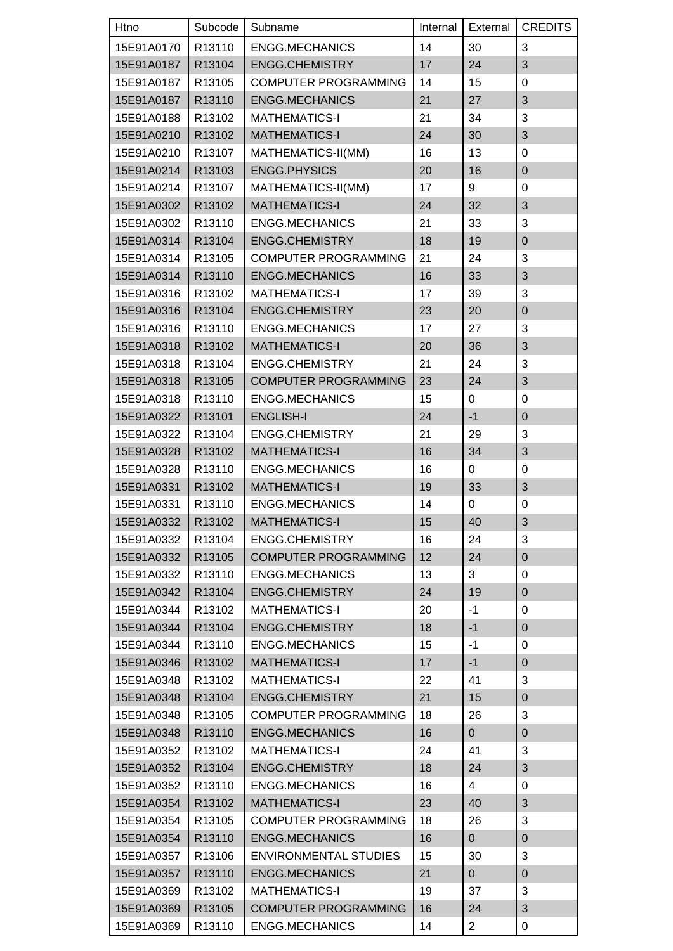| Htno       | Subcode | Subname                      | Internal | External       | <b>CREDITS</b>   |
|------------|---------|------------------------------|----------|----------------|------------------|
| 15E91A0170 | R13110  | <b>ENGG.MECHANICS</b>        | 14       | 30             | 3                |
| 15E91A0187 | R13104  | <b>ENGG.CHEMISTRY</b>        | 17       | 24             | 3                |
| 15E91A0187 | R13105  | <b>COMPUTER PROGRAMMING</b>  | 14       | 15             | $\boldsymbol{0}$ |
| 15E91A0187 | R13110  | <b>ENGG.MECHANICS</b>        | 21       | 27             | 3                |
| 15E91A0188 | R13102  | <b>MATHEMATICS-I</b>         | 21       | 34             | 3                |
| 15E91A0210 | R13102  | <b>MATHEMATICS-I</b>         | 24       | 30             | 3                |
| 15E91A0210 | R13107  | MATHEMATICS-II(MM)           | 16       | 13             | 0                |
| 15E91A0214 | R13103  | <b>ENGG.PHYSICS</b>          | 20       | 16             | $\mathsf 0$      |
| 15E91A0214 | R13107  | MATHEMATICS-II(MM)           | 17       | 9              | 0                |
| 15E91A0302 | R13102  | <b>MATHEMATICS-I</b>         | 24       | 32             | 3                |
| 15E91A0302 | R13110  | <b>ENGG.MECHANICS</b>        | 21       | 33             | 3                |
| 15E91A0314 | R13104  | <b>ENGG.CHEMISTRY</b>        | 18       | 19             | $\boldsymbol{0}$ |
| 15E91A0314 | R13105  | <b>COMPUTER PROGRAMMING</b>  | 21       | 24             | 3                |
| 15E91A0314 | R13110  | <b>ENGG.MECHANICS</b>        | 16       | 33             | 3                |
| 15E91A0316 | R13102  | <b>MATHEMATICS-I</b>         | 17       | 39             | 3                |
| 15E91A0316 | R13104  | <b>ENGG.CHEMISTRY</b>        | 23       | 20             | $\mathsf 0$      |
| 15E91A0316 | R13110  | <b>ENGG.MECHANICS</b>        | 17       | 27             | 3                |
| 15E91A0318 | R13102  | <b>MATHEMATICS-I</b>         | 20       | 36             | 3                |
| 15E91A0318 | R13104  | ENGG.CHEMISTRY               | 21       | 24             | 3                |
| 15E91A0318 | R13105  | <b>COMPUTER PROGRAMMING</b>  | 23       | 24             | 3                |
| 15E91A0318 | R13110  | <b>ENGG.MECHANICS</b>        | 15       | $\mathbf 0$    | $\boldsymbol{0}$ |
| 15E91A0322 | R13101  | <b>ENGLISH-I</b>             | 24       | $-1$           | $\mathbf 0$      |
| 15E91A0322 | R13104  | <b>ENGG.CHEMISTRY</b>        | 21       | 29             | 3                |
| 15E91A0328 | R13102  | <b>MATHEMATICS-I</b>         | 16       | 34             | 3                |
| 15E91A0328 | R13110  | <b>ENGG.MECHANICS</b>        | 16       | $\mathbf 0$    | $\boldsymbol{0}$ |
| 15E91A0331 | R13102  | <b>MATHEMATICS-I</b>         | 19       | 33             | 3                |
| 15E91A0331 | R13110  | <b>ENGG.MECHANICS</b>        | 14       | $\pmb{0}$      | $\mathbf 0$      |
| 15E91A0332 | R13102  | <b>MATHEMATICS-I</b>         | 15       | 40             | 3                |
| 15E91A0332 | R13104  | <b>ENGG.CHEMISTRY</b>        | 16       | 24             | 3                |
| 15E91A0332 | R13105  | <b>COMPUTER PROGRAMMING</b>  | 12       | 24             | $\boldsymbol{0}$ |
| 15E91A0332 | R13110  | <b>ENGG.MECHANICS</b>        | 13       | 3              | 0                |
| 15E91A0342 | R13104  | ENGG.CHEMISTRY               | 24       | 19             | $\mathsf 0$      |
| 15E91A0344 | R13102  | <b>MATHEMATICS-I</b>         | 20       | $-1$           | 0                |
| 15E91A0344 | R13104  | <b>ENGG.CHEMISTRY</b>        | 18       | $-1$           | 0                |
| 15E91A0344 | R13110  | <b>ENGG.MECHANICS</b>        | 15       | $-1$           | 0                |
| 15E91A0346 | R13102  | <b>MATHEMATICS-I</b>         | 17       | $-1$           | $\boldsymbol{0}$ |
| 15E91A0348 | R13102  | <b>MATHEMATICS-I</b>         | 22       | 41             | 3                |
| 15E91A0348 | R13104  | ENGG.CHEMISTRY               | 21       | 15             | 0                |
| 15E91A0348 | R13105  | <b>COMPUTER PROGRAMMING</b>  | 18       | 26             | 3                |
| 15E91A0348 | R13110  | <b>ENGG.MECHANICS</b>        | 16       | $\overline{0}$ | $\mathsf 0$      |
| 15E91A0352 | R13102  | <b>MATHEMATICS-I</b>         | 24       | 41             | 3                |
| 15E91A0352 | R13104  | ENGG.CHEMISTRY               | 18       | 24             | 3                |
| 15E91A0352 | R13110  | <b>ENGG.MECHANICS</b>        | 16       | $\overline{4}$ | 0                |
| 15E91A0354 | R13102  | <b>MATHEMATICS-I</b>         | 23       | 40             | 3                |
| 15E91A0354 | R13105  | <b>COMPUTER PROGRAMMING</b>  | 18       | 26             | 3                |
| 15E91A0354 | R13110  | <b>ENGG.MECHANICS</b>        | 16       | $\overline{0}$ | 0                |
| 15E91A0357 | R13106  | <b>ENVIRONMENTAL STUDIES</b> | 15       | 30             | 3                |
| 15E91A0357 | R13110  | <b>ENGG.MECHANICS</b>        | 21       | $\overline{0}$ | $\boldsymbol{0}$ |
| 15E91A0369 | R13102  | <b>MATHEMATICS-I</b>         | 19       | 37             | 3                |
| 15E91A0369 | R13105  | <b>COMPUTER PROGRAMMING</b>  | 16       | 24             | 3                |
| 15E91A0369 | R13110  | <b>ENGG.MECHANICS</b>        | 14       | $\overline{a}$ | 0                |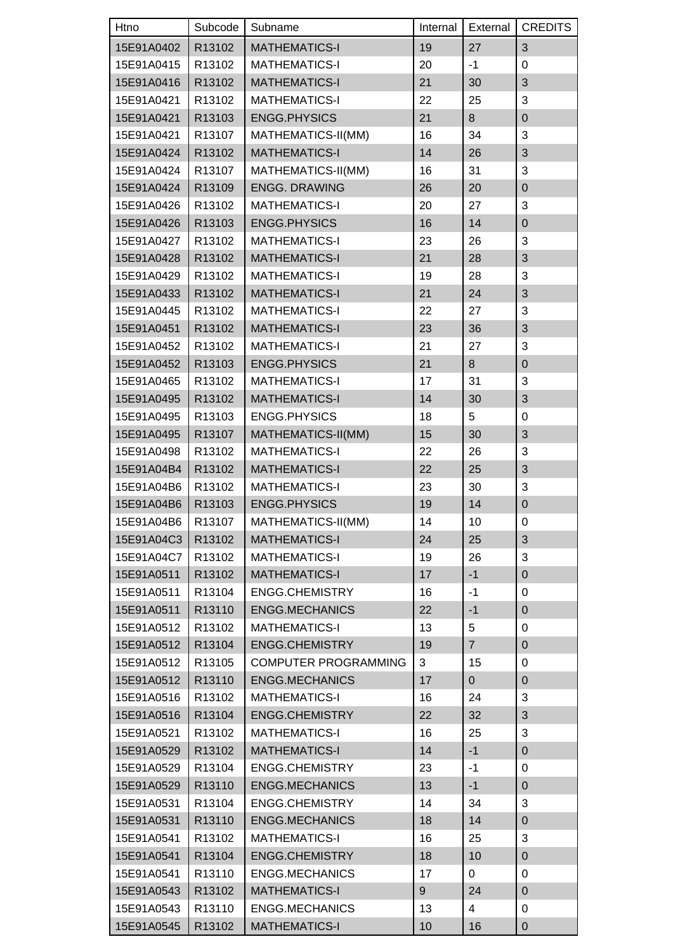| Htno       | Subcode | Subname                     | Internal | External       | <b>CREDITS</b>   |
|------------|---------|-----------------------------|----------|----------------|------------------|
| 15E91A0402 | R13102  | <b>MATHEMATICS-I</b>        | 19       | 27             | 3                |
| 15E91A0415 | R13102  | <b>MATHEMATICS-I</b>        | 20       | -1             | 0                |
| 15E91A0416 | R13102  | <b>MATHEMATICS-I</b>        | 21       | 30             | 3                |
| 15E91A0421 | R13102  | <b>MATHEMATICS-I</b>        | 22       | 25             | 3                |
| 15E91A0421 | R13103  | <b>ENGG.PHYSICS</b>         | 21       | 8              | $\mathbf 0$      |
| 15E91A0421 | R13107  | MATHEMATICS-II(MM)          | 16       | 34             | 3                |
| 15E91A0424 | R13102  | <b>MATHEMATICS-I</b>        | 14       | 26             | 3                |
| 15E91A0424 | R13107  | MATHEMATICS-II(MM)          | 16       | 31             | 3                |
| 15E91A0424 | R13109  | <b>ENGG. DRAWING</b>        | 26       | 20             | $\mathbf 0$      |
| 15E91A0426 | R13102  | <b>MATHEMATICS-I</b>        | 20       | 27             | 3                |
| 15E91A0426 | R13103  | <b>ENGG.PHYSICS</b>         | 16       | 14             | $\boldsymbol{0}$ |
| 15E91A0427 | R13102  | <b>MATHEMATICS-I</b>        | 23       | 26             | 3                |
| 15E91A0428 | R13102  | <b>MATHEMATICS-I</b>        | 21       | 28             | 3                |
| 15E91A0429 | R13102  | <b>MATHEMATICS-I</b>        | 19       | 28             | 3                |
| 15E91A0433 | R13102  | <b>MATHEMATICS-I</b>        | 21       | 24             | 3                |
| 15E91A0445 | R13102  | <b>MATHEMATICS-I</b>        | 22       | 27             | 3                |
| 15E91A0451 | R13102  | <b>MATHEMATICS-I</b>        | 23       | 36             | 3                |
| 15E91A0452 | R13102  | <b>MATHEMATICS-I</b>        | 21       | 27             | 3                |
| 15E91A0452 | R13103  | <b>ENGG.PHYSICS</b>         | 21       | 8              | $\mathbf 0$      |
| 15E91A0465 | R13102  | <b>MATHEMATICS-I</b>        | 17       | 31             | 3                |
| 15E91A0495 | R13102  | <b>MATHEMATICS-I</b>        | 14       | 30             | 3                |
| 15E91A0495 | R13103  | <b>ENGG.PHYSICS</b>         | 18       | 5              | $\boldsymbol{0}$ |
| 15E91A0495 | R13107  | MATHEMATICS-II(MM)          | 15       | 30             | 3                |
| 15E91A0498 | R13102  | <b>MATHEMATICS-I</b>        | 22       | 26             | 3                |
| 15E91A04B4 | R13102  | <b>MATHEMATICS-I</b>        | 22       | 25             | 3                |
| 15E91A04B6 | R13102  | <b>MATHEMATICS-I</b>        | 23       | 30             | 3                |
| 15E91A04B6 | R13103  | <b>ENGG.PHYSICS</b>         | 19       | 14             | $\mathbf 0$      |
| 15E91A04B6 | R13107  | MATHEMATICS-II(MM)          | 14       | 10             | 0                |
| 15E91A04C3 | R13102  | <b>MATHEMATICS-I</b>        | 24       | 25             | 3                |
| 15E91A04C7 | R13102  | <b>MATHEMATICS-I</b>        | 19       | 26             | 3                |
| 15E91A0511 | R13102  | <b>MATHEMATICS-I</b>        | 17       | $-1$           | $\pmb{0}$        |
| 15E91A0511 | R13104  | <b>ENGG.CHEMISTRY</b>       | 16       | $-1$           | 0                |
| 15E91A0511 | R13110  | <b>ENGG.MECHANICS</b>       | 22       | $-1$           | $\pmb{0}$        |
| 15E91A0512 | R13102  | <b>MATHEMATICS-I</b>        | 13       | 5              | 0                |
| 15E91A0512 | R13104  | <b>ENGG.CHEMISTRY</b>       | 19       | $\overline{7}$ | $\boldsymbol{0}$ |
| 15E91A0512 | R13105  | <b>COMPUTER PROGRAMMING</b> | 3        | 15             | 0                |
| 15E91A0512 | R13110  | <b>ENGG.MECHANICS</b>       | 17       | $\mathbf 0$    | $\pmb{0}$        |
| 15E91A0516 | R13102  | <b>MATHEMATICS-I</b>        | 16       | 24             | 3                |
| 15E91A0516 | R13104  | <b>ENGG.CHEMISTRY</b>       | 22       | 32             | 3                |
| 15E91A0521 | R13102  | <b>MATHEMATICS-I</b>        | 16       | 25             | 3                |
| 15E91A0529 | R13102  | <b>MATHEMATICS-I</b>        | 14       | $-1$           | $\pmb{0}$        |
| 15E91A0529 | R13104  | <b>ENGG.CHEMISTRY</b>       | 23       | $-1$           | 0                |
| 15E91A0529 | R13110  | <b>ENGG.MECHANICS</b>       | 13       | $-1$           | 0                |
| 15E91A0531 | R13104  | <b>ENGG.CHEMISTRY</b>       | 14       | 34             | 3                |
| 15E91A0531 | R13110  | <b>ENGG.MECHANICS</b>       | 18       | 14             | $\boldsymbol{0}$ |
| 15E91A0541 | R13102  | <b>MATHEMATICS-I</b>        | 16       | 25             | 3                |
| 15E91A0541 | R13104  | <b>ENGG.CHEMISTRY</b>       | 18       | 10             | $\pmb{0}$        |
| 15E91A0541 | R13110  | <b>ENGG.MECHANICS</b>       | 17       | 0              | 0                |
| 15E91A0543 | R13102  | <b>MATHEMATICS-I</b>        | 9        | 24             | $\mathbf 0$      |
| 15E91A0543 | R13110  | <b>ENGG.MECHANICS</b>       | 13       | 4              | 0                |
| 15E91A0545 | R13102  | <b>MATHEMATICS-I</b>        | 10       | 16             | $\pmb{0}$        |